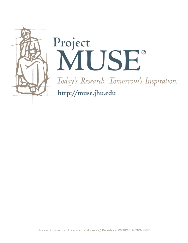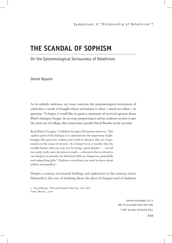# **THE SCANDAL OF SOPHISM**

# On the Epistemological Seriousness of Relativism

*Daniel Boyarin*

As its subtitle indicates, my essay concerns the epistemological seriousness of relativism, a mode of thought whose seriousness is often—much too often—in question. To begin, I would like to quote a statement of received opinion about Plato's dialogue *Gorgias*. In an essay purporting to advise students on how to get the most out of college, the conservative pundit David Brooks wrote recently:

Read Plato's "Gorgias." As Robert George of Princeton observes, "The explicit point of the dialogue is to demonstrate the superiority of philosophy (the quest for wisdom and truth) to rhetoric (the art of persuasion in the cause of victory). At a deeper level, it teaches that the worldly honors that one may win by being a good speaker . . . can all too easily erode one's devotion to truth—a devotion that is critical to our integrity as persons. So rhetorical skills are dangerous, potentially soul-imperiling gifts." Explains everything you need to know about politics and punditry.1

Despite a century of research findings and explication to the contrary (since Nietzsche!), this way of thinking about the place of Gorgias (and of Sophism

1. David Brooks, "Harvard-Bound? Chin Up." *New York Times*, March 2, 2006.

> *Common Knowledge* 13:2-3 DOI 10.1215/0961754X-2007-009 © 2007 by Duke University Press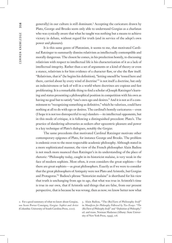generally) in our culture is still dominant.2 Accepting the caricature drawn by Plato, George and Brooks seem only able to understand Gorgias as a charlatan who was cynically aware that what he taught was nothing but a means to achieve victory in debate, without regard for truth (and in service of the adept's own power and pleasure).

It is this same genre of Platonism, it seems to me, that motivated Cardinal Ratzinger to summarily dismiss relativism as intellectually contemptible and morally dangerous. The closest he comes, in his preelection homily, to discussing relativism with respect to intellectual life is his characterization of it as a lack of intellectual integrity. Rather than a set of arguments or a kind of theory or even a stance, relativism is for him evidence of a character flaw, or else the flaw itself. "Relativism, that is" (he begins his definition), "letting oneself be 'tossed here and there, carried about by every wind of doctrine'" is not itself a doctrine, but only an indecisiveness or lack of will in a world where doctrines are copious and fast proliferating. It is a remarkable thing to find a scholar of Joseph Ratzinger's learning and status presenting a philosophical position in competition with his own as having no goal but to satisfy "one's own ego and desires." And it is not as if a commitment to "recognizing something as definitive," which he valorizes, could have nothing at all to do with ego or desires. The cardinal's homily caricatures—even (I hope it is not too disrespectful to say) slanders—its intellectual opponents, but in this mode of critique, it is following a distinguished precedent: Plato's. The practice of slandering adversaries as seekers after egocentric pleasure and power is a key technique of Plato's dialogues, notably the *Gorgias*.

The same precedents that motivated Cardinal Ratzinger motivate other contemporary epigones of Plato, for instance George and Brooks. The problem is endemic even to the most respectable academic philosophy. Although stated in a more sophisticated manner, the view of the French philosopher Alain Badiou is not much more nuanced than Ratzinger's in its understanding of the place of rhetoric: "Philosophy today, caught in its historicist malaise, is very weak in the face of modern sophists. Most often, it even considers the great sophists—for there are great sophists—as great philosophers. Exactly as if we were to consider that the great philosophers of Antiquity were not Plato and Aristotle, but Gorgias and Protagoras."3 Badiou's phrase "historicist malaise" is shorthand for his view that truth is unchanging from age to age, that what was true in Aristotle's time is true in our own, that if Aristotle said things that are false, from our present perspective, that is because he was wrong, then as now; we know better now what

2. For a good summary of what we know about Gorgias, see Scott Porter Consigny, *Gorgias: Sophist and Artist* (Columbia: University of South Carolina Press, 2001).

3. Alain Badiou, "The (Re)Turn of Philosophy Itself" in *Manifesto for Philosophy Followed by Two Essays: "The (Re)Turn of Philosophy Itself" and "Definition of Philosophy*," ed. and trans. Norman Madarasz (Albany: State University of New York Press, 1999), 116.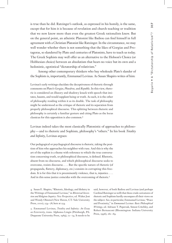is true than he did. Ratzinger's outlook, as expressed in his homily, is the same, except that for him it is because of revelation and church teaching or tradition that we now know more than even the greatest Greek rationalists knew. But on the general point, an atheistic Platonist like Badiou can find himself in full agreement with a Christian Platonist like Ratzinger. In the circumstance, we may well wonder whether there is not something that the likes of Gorgias and Protagoras, so slandered by Plato and centuries of Platonists, have to teach us today. The Greek Sophists may well offer us an alternative to the Hobson's Choice (or Hobbesian choice) between an absolutism that hears no voice but its own and a hedonistic, egotistical "dictatorship of relativism."

Among other contemporary thinkers who buy wholesale Plato's slander of the Sophists is, importantly, Emmanuel Levinas. As Susan Shapiro writes of him:

Levinas's early writings elucidate the deceptiveness of rhetoric through comments on Plato's *Gorgias*, *Phaedrus*, and *Republic*. In this view, rhetoric is considered an illusory and shadowy knack with speech that imitates, haunts, and would supplant being or truth. As such, it is the other of philosophy residing within it as its double. The task of philosophy might be understood as the critique of rhetoric and its separation from properly philosophical discourse. This splitting between rhetoric and philosophy is certainly a familiar gesture and citing Plato as the locus classicus for this opposition is also common.4

Levinas indeed takes the most classically Platonistic of approaches to philosophy—and to rhetoric and Sophism, philosophy's "others." In his book *Totality and Infinity*, Levinas argues:

Our pedagogical or psychagogical discourse is rhetoric, taking the position of him who approaches his neighbor with ruse. And this is why the art of the sophist is a theme with reference to which the true conversation concerning truth, or philosophical discourse, is defined. Rhetoric, absent from no discourse, and which philosophical discourse seeks to overcome, resists discourse. . . . But the specific nature of rhetoric (of propaganda, flattery, diplomacy, etc.) consists in corrupting this freedom. It is for this that it is preeminently violence, that is, injustice. . . . And in this sense justice coincides with the overcoming of rhetoric.<sup>5</sup>

4. Susan E. Shapiro, "Rhetoric, Ideology, and Idolatry in the Writings of Emmanuel Levinas," in *Rhetorical Invention and Religious Inquiry: New Perspectives*, ed. Walter Jost and Wendy Olmsted (New Haven, CT: Yale University Press, 2000), 254–78; here at 254.

5. Emmanuel Levinas, *Totality and Infinity: An Essay on Exteriority*, trans. Alphonso Lingis (Pittsburgh, PA: Duquesne University Press, 1969), 72–74. It needs to be

said, however, of both Badiou and Levinas (and perhaps Cardinal Ratzinger as well) that these crude caricatures of rhetoric and Sophism hardly encompass all their views on the subject. See, in particular, Emmanuel Levinas, "Peace and Proximity," in *Emmanuel Levinas: Basic Philosophical Writings*, ed. Adriaan T. Peperzak, Simon Critchley, and Robert Bernasconi (Bloomington: Indiana University Press, 1996), 161–69.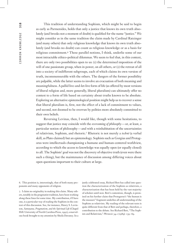This tradition of understanding Sophism, which might be said to begin as early as Parmenides, holds that only a justice that knows its own truth absolutely (and brooks not a moment of doubt) is qualified for the name "justice." We might consider as in the same tradition the claim made by Cardinal Ratzinger (and many others) that only religious knowledge that knows its own truth absolutely (and brooks no doubt) can count as religious knowledge or as a basis for religious commitment.6 These parallel notions, I think, underlie some of our most intractable ethico-political dilemmas. We seem to feel that, in this context, there are only two possibilities open to us: (1) the determined imposition of the will of one passionate group, when in power, on all others, or (2) the retreat of all into a society of indifferent subgroups, each of which claims its own version of truth, incommensurable with the others. The dangers of the former possibility are palpable, while the latter seems to involve an evacuation of both meaning and meaningfulness. A pallid live-and-let-live form of life (as offered by most versions of liberal religion and, more generally, liberal pluralism) can ultimately offer no contest to a form of life based on certainty about truths known to be absolute. Exploring an alternative epistemological position might help us to recover a sense that liberal pluralism is, first, not the effect of a lack of commitment to values, and second, not doomed to be overrun by polities more absolutely committed to their own beliefs.

Reversing Levinas, then, I would like, though with some hesitations, to suggest that justice may coincide with the *overcoming of philosophy*—or, at least, a particular notion of philosophy—and with a reinhabitation of the uncertainties of relativism, Sophism, and rhetoric.<sup>7</sup> Rhetoric is not merely a *techne* (a verbal skill, as Plato claimed) but an epistemology. Sophists such as Gorgias and Protagoras were intellectuals championing a humane and human-centered worldview, according to which the access to knowledge was equally open (or equally closed) to all. The Sophists' goal was not the discovery of objective truth (even were there such a thing), but the maintenance of discussion among differing voices about open questions important to their culture at large.

6. This position is, interestingly, that of both many proponents and many opponents of religion.

7. I claim no originality in making this claim. Many others, notably in the pragmatist tradition, have been working along these lines for some time. My contribution, if I have one, is a particular way of reading the Sophists in the context of this discussion. See, for instance, Henry S. Levinson, *Santayana, Pragmatism, and the Spiritual Life* (Chapel Hill: University of North Carolina Press, 1992), a marvelous book brought to my attention by Sheila Davaney. In a

justly celebrated essay, Richard Bett has called into question the characterization of the Sophists as relativists, a characterization that has been held by the vast majority of scholars until now. Bett's contention, though, is premised on his further claim that Protagoras's "the human is the measure" fragment underlies all understanding of the Sophists as relativists. My reading of the relevant texts is quite different from that of Bett and perhaps, therefore, a contribution to the debate. See Richard Bett, "The Sophists and Relativism," *Phronesis* 34.2 (1989): 139–69.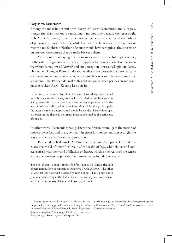## **Gorgias vs. Parmenides**

Among the most important "pre-Socratics" were Parmenides and Gorgias, though the classification is a misnomer (and not only because the term ought to be "pre-Platonics"). The former is taken generally to be one of the fathers of philosophy, if not *the* father; while the latter is claimed as the progenitor of rhetoric and Sophism.8 Neither, of course, would have recognized these terms or understood the contrast that we make between them.

What is meant in saying that Parmenides was already a philosopher is that, in the extant fragments of his work, he appears to make a distinction between that which is true or real (*aletheis*) and our perceptions or received opinions (*doxa*). He further claims, as Plato will do, that while *aletheis* persuades us automatically (as it were) to believe what is right, *doxa* virtually forces us to believe things that are wrong. That Parmenides makes this distinction between persuasion and compulsion is clear. As Mi-Kyoung Lee puts it:

In his poem, Parmenides lays claim to a kind of knowledge not attained by ordinary mortals, the way to which is revealed to him by a goddess who presents him with a choice between the way of persuasion and the way of δoξα or ordinary human opinion (DK 28 B1.28–30, B.2 4–8); the latter she says is deceptive and should be avoided. Parmenides' special twist on the theme is that truth must be attained by the active use of reason.9

In other words, Parmenides was perhaps the first to promulgate the notion of *rational compulsion* and to argue that it in effect it is not compulsion at all (in the way that rhetoric is), but rather persuasion.

Parmenides's little work *On Nature* is divided into two parts. The first discusses the world of "truth" or "reality," the realm of *logos*, while the second concerns itself with the world of illusion or *kosmos*, which is the realm of the senses and of the erroneous opinions that human beings found upon them:

The one: that it is and it is impossible for it not to be. This is the path of persuasion, for it accompanies Objective Truth [*aletheia*]. The other [*doxa*]: that it is not and it necessarily must not be. That, I point out to you, is a path wholly unthinkable, for neither could you know what-isnot (for that is impossible), nor could you point it out.

8. According to other doxological traditions, it was Empedocles, the supposed teacher of Gorgias, who "invented" rhetoric. Richard Bett, ed., *Sextus Empiricus: Against the Logicians* (Cambridge: Cambridge University Press, 2005), 4; Sextus, *Against the Logicians* I.6.

9. Mi-Kyoung Lee, *Epistemology After Protagoras: Responses to Relativism in Plato, Aristotle, and Democritus* (Oxford: Clarendon, 2005), 39.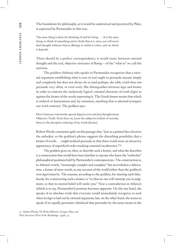The foundation for philosophy, as it would be understood and practiced by Plato, is expressed by Parmenides in this way:

The same thing is there for thinking of and for being. . . . It is the same thing, to think of something and to think that it *is*, since you will never find thought without what-is [Being], to which it refers, and on which it depends.

There should be a perfect correspondence, it would seem, between rational thought and the real, objective structure of Being—of the "what-is" we call the universe.

The goddess (Athena) who speaks to Parmenides recognizes that a rational argument establishing what is true or real ought to persuade anyone simply and completely but does not always do so (and perhaps, she adds, truth does not persuade very often, or even ever). She distinguishes between *logos* and *kosmos* in order to contrast the exclusively logical, rational character of truth (*logos*) as against the *kosmos* of the words expressing it. The Greek *kosmos* means that which is ordered or harmonious and, by extension, anything that is adorned (compare our word *cosmetics*). The goddess says:

Here I stop my trustworthy speech [*logos*] to you and [my] thought about Objective Truth. From here on, learn the subjective beliefs of mortals; listen to the deceptive ordering of my words [*kosmos*].

Robert Wardy comments aptly on this passage that, "just as a painted face deceives the onlooker, so the goddess's phrase suggests the disturbing possibility that a *kosmos* of words . . . might mislead precisely in that these words wear an attractive appearance of superficial order masking essential incoherence."10

The goddess goes on, then, to describe such a *kosmos*, and what she describes is a construction that would have been familiar to anyone who knew the "orthodox" philosophical positions held by Parmenides's contemporaries. The construction is, in Athena's words, "stunningly complex and complete" but nevertheless a fabrication, a *kosmos* of mere words, as any account of the world (other than the goddess's own *logos*) must be. The reasons, according to the goddess, for uttering such falsehoods, for constructing such a *kosmos*, is "so that no one will outstrip you in judgment, so that no mortal belief will outdo you." Now a contradiction in Athena's (which is to say, Parmenides's) position becomes apparent. On the one hand, she speaks of an absolute truth that everyone would immediately recognize as such when its *logos* is laid out by rational argument; but, on the other hand, she seems to speak of an equally persuasive falsehood that persuades by the same means in the

10. Robert Wardy, *The Birth of Rhetoric: Gorgias, Plato, and Their Successors* (New York: Routledge, 1996), 13.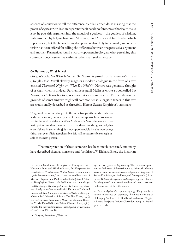absence of a criterion to tell the difference. While Parmenides is insisting that the power of *logos* as truth is so transparent that it needs no force, no authority, to make it so, he puts this argument into the mouth of a goddess—the goddess of wisdom, no less—thereby belying his claim. Moreover, truth/reality is defined as that which is persuasive, but the *kosmos*, being deceptive, is also likely to persuade; and no criterion has been offered for telling the difference between one persuasive argument and another. Parmenides found a worthy opponent in Gorgias, who, perceiving this contradiction, chose to live within it rather than seek an escape.

#### **On Nature; or, What Is Not**

Gorgias's title, *On What Is Not; or On Nature*, is parodic of Parmenides's title.11 (Douglas MacDowell cleverly suggests a modern analogue in the form of a text entitled *Thirteenth Night; or, What You Won't*.)<sup>12</sup> Nature was generally thought of as that-which-is. Indeed, Parmenides's pupil Melissus wrote a book called *On Nature; or On What Is*. Gorgias sets out, it seems, to overturn Parmenides on the grounds of something we might call common sense. Gorgias's tenets in this text are traditionally described as threefold. Here is Sextus Empiricus's summary:

Gorgias of Leontini belonged to the same troop as those who did away with the criterion, but not by way of the same approach as Protagoras. For in the work entitled *On What Is Not* or *On Nature* he sets up three main points one after the other: first, that there is nothing; second, that even if there is [something], it is not apprehensible by a human being; third, that even if it is apprehensible, it is still not expressible or explainable to the next person.13

The interpretation of these sentences has been much contested, and many have described them as nonsense and "sophistry."14 Richard Enos, the historian

11. For the Greek texts of Gorgias and Protagoras, I cite Hermann Diels and Walther Kranz, *Die Fragmente der Vorsokratiker, Griechisch und Deutsch* (Zurich: Weidmann, 1966). For translation, I am citing the excellent work of Michael Gagarin, and Paul Woodruff, *Early Greek Political Thought from Homer to the Sophists*, ed. and trans. Gagarin (Cambridge: Cambridge University Press, 1995), having closely consulted as well with Hermann Diels and Rosamond Kent Sprague, *The Older Sophists*, ed. Sprague (Columbia: University of South Carolina Press, 1972); and for Gorgias's *Encomium of Helen*, the edition of Douglas M. MacDowell (Bristol: Bristol Classical Press, 1982). Finally, for Sextus Empiricus, I cite *Against the Logicians*, ed. and trans. Richard Bett.

12. Gorgias, *Encomium of Helen*, 11.

13. Sextus, *Against the Logicians*, 15. There are many problems with the text of the testimonia to this work, which is known from two ancient sources: *Against the Logicians* of Sextus Empiricus, as cited here, and from (pseudo-) Aristotle's *Melissus, Xenophanes, and Gorgias* 979a11–980b21. For the general interpretation advanced here, these textual issues are not directly relevant.

14. Sextus, *Against the Logicians*, 15 n. 35. They have been taken as nonsense or "sophistry" by most historians of philosophy (such as E. R. Dodds, ed. and trans., *Gorgias: A Revised Text* [1959; Oxford: Clarendon, 2004], 7–8) until quite recently.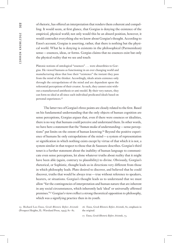of rhetoric, has offered an interpretation that renders them coherent and compelling. It would seem, at first glance, that Gorgias is denying the existence of the empirical, physical world; not only would this be an absurd position, however, it would contradict everything else we know about Gorgias's thought. According to Enos's account, Gorgias is asserting, rather, that there is nothing but the physical world. What he is denying is existents in the philosophical (Parmenidean) sense—essences, ideas, or forms. Gorgias claims that no essences exist but only the physical reality that we see and touch:

Platonic notions of ontological "essences" . . . were absurdities to Gorgias. He viewed humans as functioning in an ever changing world and manufacturing ideas that lose their "existence" the instant they pass from the mind of the thinker. Accordingly, ideals attain existence only through the extrapolations of the mind and are dependent upon the referential perceptions of their creator. As such, they cannot exist without a manufactured antithesis or anti-model. By their very nature, they can form no ideal at all since each individual predicated ideals based on personal experiences.15

The latter two of Gorgias's three points are closely related to the first. Based on his fundamental understanding that the only objects of human cognition are sense perceptions, Gorgias argues that, even if there were essences or idealities, there is no way that humans could perceive and understand them. In other words, we have here a statement that the "*human media* of understanding—sense perceptions" put limits on the extent of human knowing.16 Beyond the positive experience of humans lie only extrapolations of the mind—a system of representation or signification in which nothing exists except by virtue of that which it is not, a system similar in that respect to those that de Saussure describes. Gorgias's third tenet is a further statement about the inability of human language to communicate even sense perceptions, let alone whatever truths about reality that it might have been able (again, contrary to plausibility) to divine. Obviously, Gorgias's rhetorical, or Sophistic, thought leads us in directions very different from those in which philosophy leads. Plato desired to discover, and believed that he could discover, truths that would be always true—true without reference to speakers, hearers, or situations. Gorgias's thought leads us to understand that we must allow "for the contingencies of interpretation and human nature that are inherent in any social circumstances, which inherently lack 'ideal' or universally affirmed premises."17 Gorgias's views reflect a strong theoretical opposition to philosophy, which was a signifying practice then in its youth.

15. Richard Leo Enos, *Greek Rhetoric Before Aristotle* (Prospect Heights, IL: Waveland Press, 1993), 81–82.

16. Enos, *Greek Rhetoric Before Aristotle*, 82; emphasis in the original.

17. Enos, *Greek Rhetoric Before Aristotle*, 73.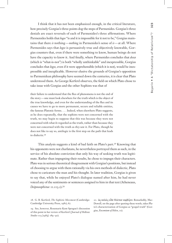I think that it has not been emphasized enough, in the critical literature, how precisely Gorgias's three points dog the steps of Parmenides. Gorgias's three denials are exact reversals of each of Parmenides's three affirmations. Where Parmenides holds that *logos* "is and it is impossible for it not to be," Gorgias maintains that there *is* nothing—*nothing* in Parmenides's sense of *is*—at all. Where Parmenides says that *logos* is persuasively true and objectively knowable, Gorgias counters that, even if there were something to know, human beings do not have the capacity to know it. And finally, where Parmenides concludes that *doxa* (which is "what-is-not") is both "wholly unthinkable" and inexpressible, Gorgias concludes that *logos*, even if it were apprehensible (which it is not), would be inexpressible and inexplicable. However elusive the grounds of Gorgias's opposition to Parmenidean philosophy have seemed down the centuries, it is clear that Plato understood them. As George Kerferd observes, the field on which Plato chose to take issue with Gorgias and the other Sophists was that of

their failure to understand that the flux of phenomena is not the end of the story—one must look elsewhere for the truth which is the object of the true knowledge, and even for the understanding of the flux and its causes we have to go to more permanent, secure and reliable entities, the famous Platonic forms. . . . Indeed, when elsewhere Plato suggests, as he does repeatedly, that the sophists were not concerned with the truth, we may begin to suppose that this was because they were not concerned with what *he* regarded as the truth, rather than because they were not concerned with the truth as *they* saw it. For Plato, though he does not like to say so, antilogic is the first step on the path that leads to dialectic.18

This analysis suggests a kind of bad faith on Plato's part.19 Knowing that his opponents were not charlatans, he nevertheless portrayed them as such, in the service of his absolute conviction that only his way of seeking truth was legitimate. Rather than impugning their results, he chose to impugn their characters. Plato was in serious theoretical disagreement with Gorgias's positions, but instead of choosing to argue with them rationally via his own methods of dialectic, Plato chose to caricature the man and his thought. In later tradition, Gorgias is given to say that, while he enjoyed Plato's dialogue named after him, he had never voiced any of the sentiments or sentences assigned to him in that text (Atheneaus, *Deipnosophistae* 11.113.2).20

18. G. B. Kerferd, *The Sophistic Movement* (Cambridge: Cambridge University Press, 1981), 67.

19. See, however, Rosemarie Kent Sprague's discussion of this point in her review of Kerferd (*Journal of Hellenic Studies* 103 [1983]: 189–90).

20. ώς καλώς οίδε Πλάτων ιαμβίζειν. Remarkably, Mac-Dowell, on the page after quoting these words, takes Plato's characterization of Gorgias as "gospel truth" (Gorgias, *Encomium of Helen*, 10).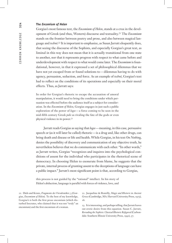#### **The** *Encomium of Helen*

Gorgias's most famous text, the *Encomium of Helen*, stands at a crux in the development of Greek (and thus, Western) discourse and textuality.21 The *Encomium* stands on the frontier between poetry and prose, and also between magical language and *techne*<sup>22</sup> It is important to emphasize, as Susan Jarratt eloquently does, that seeing the discourse of the Sophists, and especially Gorgias's great text, as liminal in this way does not mean that it is actually transitional from one state to another, nor that it represents progress with respect to what came before and underdevelopment with respect to what would come later. The *Encomium* is foundational, however, in that it expressed a set of philosophical dilemmas that we have not yet escaped from or found solutions to—dilemmas having to do with agency, persuasion, seduction, and force. As an example of *techne*, Gorgias's text had to reflect on the conditions of its operations and especially on their moral effects. Thus, as Jarratt says:

In order for Gorgias's rhetoric to escape the accusation of amoral manipulation, it would need to bring the conditions under which persuasion was effected before the audience itself as a subject for consideration. In the *Encomium of Helen*, Gorgias engages in just such a public exploration of the power of *logos*—a force coming to be seen in the mid-fifth century Greek *polis* as rivaling the fate of the gods or even physical violence in its power.23

Jarratt reads Gorgias as saying that *logos*—meaning, in this case, persuasive speech or (as it will later be called) rhetoric—is a drug and, like other drugs, can bring death and disease or life and health. While Gorgias, in his text *On Nothing*, denies the possibility of discovery and communication of any objective truth, he nevertheless believes that we do communicate with each other. "In other words," as Jarratt writes, Gorgias "recognizes and inquires into the psychological conditions of assent for the individual who participates in the rhetorical scene of democracy. In choosing Helen to exonerate from blame, he suggests that the private, internal process of granting assent to the deceptions of language can have a public impact." Jarratt's most significant point is that, according to Gorgias,

this process is not guided by the "rational" intellect. In his story of Helen's abduction, language is parallel with forces of violence, love, and

21. Diels and Kranz, *Fragmente der Vorsokratiker*, 3 (Gorgias, *Encomium of Helen*). To the best of my knowledge, Gorgias's is both the first prose encomium (which disturbed Isocrates, who claimed that it was not "truly" an encomium) and the first encomium of a woman.

22. Jacqueline de Romilly, *Magic and Rhetoric in Ancient Greece* (Cambridge, MA: Harvard University Press, 1975), 16.

23. It is interesting, and perhaps telling, that Jarratt leaves out erotic desire from this equation. Susan C. Jarratt, *Rereading the Sophists: Classical Rhetoric Refigured* (Carbondale: Southern Illinois University Press, 1991), 57.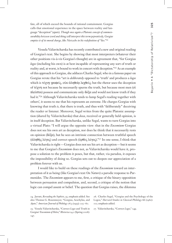fate, all of which exceed the bounds of rational containment. Gorgias calls that emotional experience in the space between reality and language "deception" (*apate*). *Though once again a Platonic concept of commensurability between word and thing will interpret this term pejoratively, Gorgias empties it of its moral charge, like Nietzsche in his redefinition of "lies."*<sup>24</sup>

Vessela Valiavitcharska has recently contributed a new and original reading of Gorgias's text. She begins by showing that most interpreters (whatever their other positions vis-à-vis Gorgias's thought) are in agreement that, "for Gorgias *logos* (including his own) is at best incapable of representing any sort of truth or reality and, at worst, is bound to work in concert with deception."25 As an example of this approach to Gorgias, she adduces Charles Segal, who in a famous paper on Gorgias wrote that his "art is *deliberately* opposed to 'truth' and produces a *logos* which is τέχνη γραφείς, οὐκ ἀληθεία λεχθείς; but the rhetor uses the deception of τέχνη not because he necessarily spurns the truth, but because most men (ου πλείστοι) possess and communicate only δόξα and would not know truth if they had it."26 Although Valiavitcharska tends to lump Segal's reading together with others', it seems to me that his represents an extreme. He charges Gorgias with knowing that truth *is*, that there is truth, and thus with "deliberately" deceiving the reader or listener. Moreover, Segal writes from the quite Platonic assumption (shared by Valiavitcharska) that *doxa*, received or generally held opinion, is in itself deception. But Valiavitcharska, unlike Segal, wants to turn Gorgias into a virtual Plato: "I will argue the opposite view: that in the *Encomium* Gorgias does not see his own art as deception, nor does he think that it necessarily rests on opinion (δoξα), but he sees an intrinsic connection between truthful speech (άληθης λόγος) and correct speech (όρθος λόγος)."<sup>27</sup> In one sense, I think that Valiavitcharska is right—Gorgias does not see his art as deception—but it seems to me that Gorgias's *Encomium* does not, as Valiavitcharska would have it, propose a solution to the problem it poses, but that, rather, via paradox, it exposes the impossibility of doing so. Gorgias sets out to deepen our appreciation of a problem forever with us.

I would like to build on these readings of the *Encomium* toward an interpretation of it as being (like Gorgias's text *On Nature*) a parodic response to Parmenides. The *Encomium* appears to me, first, a critique of the binary opposition between persuasion and compulsion, and, second, a critique of the notion that logic can compel assent or belief. The question that Gorgias raises, the dilemma

24. Jarratt, *Rereading the Sophists*, 55, emphasis added. See also Thomas G. Rosenmeyer, "Gorgias, Aeschylus, and *Apate*," *American Journal of Philology* 76.3 (1955): 225–60.

25. Vessela Valiavitcharska, "Correct *Logos* and Truth in Gorgias' *Encomium of Helen*," *Rhetorica* 24.2 (Spring 2006): 147.

26. Charles Segal, "Gorgias and the Psychology of the Logos," *Harvard Studies in Classical Philology* 66 (1962): 112; emphasis added.

27. Valiavitcharska, "Correct *Logos*," 149.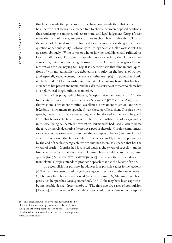that he sets, is whether persuasion differs from force—whether, that is, there can be a rhetoric that leaves its audience free to choose between opposed positions, thus rendering the audience subject to moral and legal judgment. Gorgias's test takes the form of an elegant paradox. Given that Helen is already in Troy at the outset of the *Iliad* and that Homer does not show us how she got there, the question of her culpability is obviously raised by the epic itself. Gorgias puts the question obliquely: "Who it was or why or how he took Helen and fulfilled his love, I shall not say. For to tell those who know something they know carries conviction, but it does not bring pleasure." Instead Gorgias investigates Helen's motivations for journeying to Troy. It is characteristic that fundamental questions of will and culpability are debated in antiquity on the bodies of women (and especially raped women; Lucretia is another example)—a point that should not be let slide.28 Gorgias wishes to exonerate Helen of any blame that has been attached to her person and name, and he calls the attitude of those who blame her a "single-voiced, single-minded conviction."

In the first paragraph of his text, Gorgias twice mentions "truth." In the first sentence, in a list of *what counts as "ornament"* [κoσμος] *to what*, he says that wisdom is ornament to mind, excellence is ornament to action, and truth  $\left[\alpha\lambda\dot{\eta}\right]$  is ornament to speech. Given these parallels, then, Gorgias's own speech, the very text that we are reading, must be adorned with truth to be good. Note that he uses the term *kosmos* to refer to the truthfulness of a *logos* and is, in this use, being deliberately provocative: Parmenides had used *kosmos* to name the false or merely decorative (*cosm*etic) aspect of rhetoric. Gorgias cannot mean *kosmos* in this negative sense, given the other examples of *kosmos* (wisdom of mind, excellence of action) that he lists. The text becomes quickly more complicated as, by the end of the first paragraph, we are enjoined to praise a speech that has the *kosmos* of truth—Gorgias had just listed truth as the *kosmos* of speech—and he furthermore asserts that any speech blaming Helen would be an untrue, lying speech [τους δε μεμφομένους ψσευδομένους]. By freeing the slandered woman from blame, Gorgias intends to produce a speech that has the *kosmos* of truth.

To accomplish this purpose, he adduces four possible causes for her actions. (1) She may have been forced by gods, acting on (in service to) their own desires. (2) She may have been being forced (raped) by a man. (3) She may have been persuaded by speeches [λόγοις πεισθεΐσα]. And (4) she may have been captivated by ineluctable desire [ $\epsilon \sim \alpha$ ]. The first two are cases of compulsion [Άνάκης], which even on Parmenides's view would free a person from respon-

<sup>28</sup>. This discussion will be developed further in the first chapter of a book in progress, where I also will discuss Gorgias's other important rhetorical text—his defense of Palamedes—and consider further the issues of gender raised by these texts.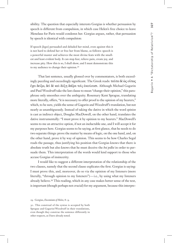sibility. The question that especially interests Gorgias is whether persuasion by speech is different from compulsion, in which case Helen's free choice to leave Menelaus for Paris would condemn her. Gorgias argues, rather, that persuasion by speech is identical with compulsion:

If speech [*logos*] persuaded and deluded her mind, even against this it is not hard to defend her or free her from blame, as follows: speech is a powerful master and achieves the most divine feats with the smallest and least evident body. It can stop fear, relieve pain, create joy, and increase pity. How this is so, I shall show; and I must demonstrate this to my audience to change their opinion.<sup>29</sup>

That last sentence, usually glossed over by commentators, is both exceedingly puzzling and exceedingly significant. The Greek reads: ταῦτα δὲ ὡς ο ύτως έχει δείξω, δει δε και δόξη δειξαι τοις άκούουσι. Although Michael Gagarin and Paul Woodruff take the last clause to mean "change their opinion," this paraphrase only smoothes over the ambiguity. Rosemary Kent Sprague, translating more literally, offers, "it is necessary to offer proof to the opinion of my hearers," which, to be sure, yields the sense of Gagarin and Woodruff's translation, but not nearly as unambiguously. Instead of taking the dative in which the word *opinion* is cast as indirect object, Douglas MacDowell, on the other hand, translates the dative instrumentally: "I must prove it by opinion to my hearers." MacDowell's seems to me an attractive option, if not an ineluctable one, and I will accept it for my purposes here. Gorgias seems to be saying, at first glance, that he needs to do two separate things: prove the matter by means of logic, on the one hand, and, on the other hand, prove it by way of opinion. This seems to be how Charles Segal reads the passage, thus justifying his position that Gorgias knows that there is absolute truth but also knows that he must deceive the *hoi polloi* in order to persuade them. This interpretation of the words would lend support to those who accuse Gorgias of insincerity.

I would like to suggest a different interpretation of the relationship of the two clauses, namely that the second clause explicates the first. Gorgias is saying: I must prove this, and, moreover, do so via the opinion of my listeners (more literally, "through opinion to my listeners")—i.e., by using what my listeners already believe.30 This reading, which in any case makes better sense of the text, is important (though perhaps not crucial) for my argument, because this interpre-

#### 29. Gorgias, *Encomium of Helen*, 8–9.

30. This construal of the syntax is accepted by both Sprague and Gagarin/Woodruff in their translations, even though they construe the sentence differently in other respects, as I have already noted.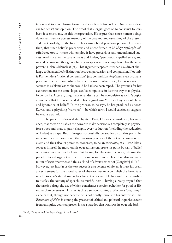tation has Gorgias refusing to make a distinction between Truth (in Parmenides's exalted sense) and opinion. The proof that Gorgias goes on to construct follows best, it seems to me, on this interpretation. He argues that, since human beings do not and cannot possess memory of the past and understanding of the present and foreknowledge of the future, they cannot but depend on opinion. He argues, then, that since belief is precarious and unconfirmed [ή δέ δόξα σφαλερὰ καὶ  $\alpha\beta$ έβαιος οὖσα], those who employ it have precarious and unconfirmed success. And since, in the case of Paris and Helen, "persuasion expelled sense; and indeed persuasion, though not having an appearance of compulsion, has the same power," Helen is blameless (12). This argument appears intended as a direct challenge to Parmenides's distinction between persuasion and compulsion. Not only is Parmenides's "rational compulsion" just compulsion *simpliciter*, even ordinary persuasion is mere compulsion by other means. In which case, Helen as a woman seduced is as blameless as she would be had she been raped. The grounds for her exoneration are the same: logos can be compulsive in just the way that physical force can be. After arguing that sexual desire can be compulsive as well, Gorgias announces that he has succeeded in his original aim: "to dispel injustice of blame and ignorance of belief." In the process, so he says, he has produced a speech [λογος] and a plaything  $[\pi\alpha i\gamma v\omega v]$  — by which term, I would cautiously suggest, he means a paradox.

The paradox is formed step by step. First, Gorgias persuades us, his audience, that rhetoric disables the power to make decisions as completely as physical force does and that, to put it sharply, every seduction (including the seduction of Helen) is a rape. But if Gorgias successfully persuades us on this point, he undermines any moral force that his own practice of the art of persuasion can claim and thus also its power to exonerate, to be an *encomium*, at all. For, like a seducer himself, he must, on his own admission, prove his point by way of belief or opinion as much as by logic. But let me, for the sake of clarity, reframe the paradox. Segal argues that the text is an encomium of Helen but also an encomium of *logos* (rhetoric) and thus a "kind of advertisement of [Gorgias's] skills."31 However, just insofar as the text succeeds as a defense of Helen, it must fail as an advertisement for the moral value of rhetoric; yet to accomplish the latter is as much Gorgias's stated aim as to achieve the former. He has said that he wishes to display the κοσμος of speech, its truthfulness—having already argued that rhetoric is a drug, the use of which constitutes coercion (whether for good or ill), rather than persuasion. His text is thus a self-consuming artifact—a "plaything," as he calls it, though not because he is not deadly serious in his enterprise. The *Encomium of Helen* is among the greatest of ethical and political inquiries extant from antiquity, yet its approach is via a paradox that swallows its own tale [*sic*].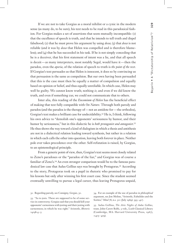If we are not to take Gorgias as a moral nihilist or a cynic in the modern sense (as many do, to be sure), his text needs to be read in this paradoxical fashion. For Gorgias makes a set of assertions that seem mutually incompatible: (1) that the excellence of speech is truth, and that he intends to tell truth and dispel falsehood; (2) that he must prove his argument by using *doxa*; (3) that *doxa* is not reliable (and it was by *doxa* that Helen was compelled and is therefore blameless); and (4) that he has succeeded in his task. If he is not simply conceding that he is a deceiver, that his first statement of intent was a lie, and that all speech is deceit—as many interpreters, most notably Segal, would have it—then the paradox, even the *aporia*, of the relation of speech to truth is *the point of the text*. If Gorgias's text persuades us that Helen is innocent, it does so by convincing us that persuasion is the same as compulsion. But our own having been persuaded that this is the case must then be equally a matter of compulsion and equally based on opinion or belief, and thus equally unreliable. In which case, Helen may well be guilty. We cannot know truth; nothing *is*; and even if we did know the truth, and even if something *was*, we could not communicate that to others.

Inter alia, this reading of the *Encomium of Helen* has the beneficial effect of making that text fully compatible with *On Nature*. Through both parody and paradox (and the paradox is the therapy of—not an antidote for—the orthodox), Gorgias's text makes a brilliant case for undecidability.32 He is, I think, following his own advice to "demolish one's opponents' seriousness by humor, and their humor by seriousness," but in this dialectic he is *both protagonist and antagonist*.33 He thus shows the way toward a kind of dialogism in which a thesis and antithesis are not in a dialectical relation leading toward synthesis, but rather in a relation in which each calls the other into question, leaving both forever in place. Neither pole ever takes precedence over the other. Self-refutation is raised, by Gorgias, to an epistemological principle.

From a generic point of view, then, Gorgias's text seems most closely related to Zeno's paradoxes or the "paradox of the liar," and Gorgias was of course a familiar of Zeno's.34 An even stronger comparison would be to the famous paradoxical law case that Aulus Gellius says was brought by Protagoras.<sup>35</sup> According to the story, Protagoras took on a pupil in rhetoric who promised to pay for his lessons but only after winning his first court case. Since the student seemed eventually unwilling to pursue a legal career, thus leaving Protagoras unpaid,

#### 32. Regarding parody, see Consigny, *Gorgias*, 30.

33. "As to jests. These are supposed to be of some service in controversy. Gorgias said that you should kill your opponents' earnestness with jesting and their jesting with earnestness; in which he was right." Aristotle, *Rhetoric* 1419b 4–5.

34. For an example of the use of paradox in *philosophical* argument, see Jon Moline, "Aristotle, Eubulides and the Sorites," *Mind* 78, n.s. 311 (July 1969): 393–407.

35. Aulus Gellius, *The Attic Nights of Aulus Gellius*, trans. John Carew Rolfe, 3 vols., Loeb Classical Library (Cambridge, MA: Harvard University Press, 1967), 1:405–409).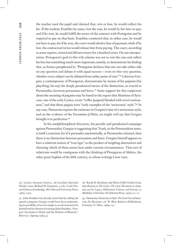the teacher sued the pupil and claimed that, win or lose, he would collect his fee. If the student, Euathlus by name, lost the case, he would by law have to pay; and if he won, he would fulfill the terms of the contract with Protagoras and be required to pay on that basis. Euathlus countered that, in either case, he would not have to pay; for if he won, the court would absolve him of payment; while if he lost, the contractual terms would release him from paying. The court, according to some reports, retired and did not return for a hundred years. On one interpretation, Protagoras's goal in this wily scheme was not to win the case and collect his fees but something much more important; namely, to demonstrate his finding that, as Seneca paraphrased it, "Protagoras declares that one can take either side on any question and debate it with equal success—even on this very question, whether every subject can be debated from either point of view."36 Likewise Gorgias, a contemporary of Protagoras, demonstrates by means of his *paignion* (his plaything, his toy) the deeply paradoxical nature of the distinction, so crucial to Parmenides, between persuasion and force.<sup>37</sup> Some support for this conjecture about the meaning of *paignion* may be found in the report that Monimus of Syracuse, one of the early Cynics, wrote "trifles [*paignia*] blended with covert seriousness," and that these *paignia* were "early examples of the 'seriocomic' style."38 In any case, Demetrius reports the existence in Gorgias's time of a seriocomic style; and on the evidence of the *Encomium of Helen*, we might well say that Gorgias brought it to perfection.39

In his antiphilosophical discourse, his parodic and paradoxical campaign against Parmenides, Gorgias is suggesting that Truth, in the Parmenidean sense, is itself a coercion; for if it persuades automatically, as Parmenides claimed, then there is no distinction between persuasion and force. Gorgias himself appears to have a relativist notion of "true *logos*" as the product of weighing alternatives and choosing which of them seems best under current circumstances. That sort of relativism would be contiguous with the thinking of Protagoras of Abdera, the other great Sophist of the fifth century, to whose writings I now turn.

36. Lucius Annaeus Seneca, *Ad Lucilium Epistulae Morales*, trans. Richard M. Gummere, 3 vols., Loeb Classical Library (Cambridge, MA: Harvard University Press, 1961), 2:375.

37. John Poulakos has already noted that by calling the speech a *paignion*, Gorgias would have been undermining its possibility of service simply as an advertisement for himself and for rhetorical training (John Poulakos, "Gorgias' *Encomium* to Helen and the Defense of Rhetoric," *Rhetorica* 1 [Spring 1983]: 3).

38. Bracht R. Branham, and Marie-Odile Goulet-Cazé, introduction to *The Cynics: The Cynic Movement in Antiquity and Its Legacy*, Hellenistic Culture and Society 23 (Berkeley: University of California Press, 1997), 10–11.

39. Demetrius, *Demetrius on Style: The Greek Text of Demetrius De Elocutione,* ed. W. Rhys Roberts (Hildesheim, Germany: G. Olms, 1969), 151.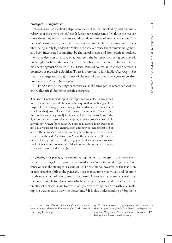### **Protagoras's Pragmatism**

Protagoras was an explicit antiphilosopher of the sort mocked by Badiou, and a relativist of the sort to which Joseph Ratzinger condescends. "Making the weaker cause the stronger"—that classic (and scandalous) term of Sophistic art—is Protagoras's formulation (Corax and Tisias, to whom the phrase is sometimes attributed, being surely legendary). "Making the weaker cause the stronger" has generally been interpreted as making, by rhetorical means and from cynical motives, the worse decision or course of action seem the better of two being considered. So fraught with fraudulence had this term become that Aristophanes made it his charge against Socrates in *The Clouds* (and, of course, in that play Socrates is portrayed as precisely a Sophist). There is more than a hint in Plato's *Apology* (18b) that this charge was a major cause of the trial of Socrates only a year or so after production of Aristophanes' play.

For Aristotle, "making the weaker cause the stronger" is synecdochic of the entire rhetorical, Sophistic, eristic enterprise:

The *Art* of Corax is made up of this topic; for example, if a weak man were charged with assault, he should be acquitted as not being a likely suspect for the charge; for it is not probable [that a weak man would attack another]. And if he is a likely suspect, for example, if he is strong, [he should also be acquitted]; for it is not likely [that he would start the fight] for the very reason that it was going to seem probable. And similarly in other cases; for necessarily, a person is either a likely suspect or not a likely suspect for a charge. Both alternatives seem probable, but one really is probable, the other so not generally, only in the circumstances mentioned. And this is to "make the weaker seem the better cause." Thus, people were rightly angry at the declaration of Protagoras; for it is a lie and not true but a fallacious probability and a part of no art except rhetoric and eristic. [1402a]<sup>40</sup>

By glossing this passage, we can arrive, against Aristotle's grain, at a more sympathetic reading of the topos that he assaults. For Aristotle, rendering the weaker cause or case the stronger is a kind of lie. To assume so, however, as the tradition of authoritarian philosophy generally does, is to assume that we can and do know in advance which of two causes is the better. Aristotle must assume as well that the Sophist or rhetor also knows which is the better cause; and thus it is that the practice of rhetoric is said to consist of slyly overturning the truth with a lie, making the weaker cause *seem* the better one.41 It is this understanding of Sophistic

40. Aristotle, *On Rhetoric: A Theory of Civic Discourse*, trans. George Alexander Kennedy (New York: Oxford University Press, 1991), 210.

41. Cf. the discussion of epistemological confidence in Mark Douglas Given, *Paul's True Rhetoric: Ambiguity, Cunning, and Deception in Greece and Rome* (Harrisburg, PA: Trinity Press International, 2001), 34.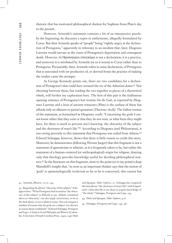rhetoric that has motivated philosophical disdain for Sophism from Plato's day to the present.

However, Aristotle's statement contains a bit of an interpretive puzzle. In the beginning, he discusses a topos or enthymeme, allegedly formulated by Corax. But then Aristotle speaks of "people" being "rightly angry at the declaration of Protagoras," apparently in reference to an incident that, later, Diogenes Laertius would narrate as the cause of Protagoras's deportation and consequent death. However, τὸ Πρωταγόρου ἐπάγγελμα is not a declaration; it is a practice, and moreover it is attributed by Aristotle (or so it seems) to Corax rather than to Protagoras. Presumably, then, Aristotle refers to some declaration, of Protagoras that is associated with (or productive of, or derived from) the practice of making the weaker cause the stronger.

As George Kennedy points out, there are two candidates for a declaration of Protagoras's that could have aroused the ire of the Athenian *demos*. 42 Not choosing between them, but reading the two together as pieces of a theoretical whole, will further my exploration here. The first of this pair is the (in)famous opening sentence of Protagoras's lost treatise *On the Gods*, as reported by Diogenes Laertius and a host of ancient witnesses (Plato is the earliest of these but affords only an allusion or partial quotation [*Thaetetus* 162d]). The fullest version of the statement, as formulated in Diogenes, reads: "Concerning the gods I cannot know either that they exist or that they do not exist, or what form they might have, for there is much to prevent one's knowing: the obscurity of the subject and the shortness of man's life."43 According to Diogenes (and Philostratus), it was owing precisely to this statement that Protagoras was exiled from Athens.<sup>44</sup> Edward Schiappa, however, shows that there is little reason to credit this story. Moreover, he demonstrates (following Werner Jaeger) that this fragment is not a statement of agnosticism or atheism, as it is frequently taken to be, but rather the statement of a human-centered (or anthropological) origin for religion, denying only that theology provides knowledge useful for deciding philosophical matters.45 In the literature on this fragment, most to the point (or to my point) is Jaap Mansfield's insight that, "as soon as an important thinker says that the notion of 'gods' is epistemologically irrelevant as far as he is concerned, this cannot but

42. Aristotle, *Rhetoric*, 210 n. 254.

43. Regarding the phrase "obscurity of the subject," Schiappa writes: "What Protagoras had in mind as 'the obscurity of the subject' is difficult to say. *Adêlotês*, translated above as 'obscurity,' can also imply uncertainty, to be in the dark about, or not evident to sense. One can imagine a number of reasons why the gods are a 'subject' too obscure to reason about confidently" (Edward Schiappa, *Protagoras and Logos: A Study in Greek Philosophy and Rhetoric* [Columbia: University of South Carolina Press, 1991], 143). Diels

and Sprague, *Older Sophists*, 20. Schiappa has compared this last phrase "the shortness of man's life" with Empedocles' claim that life is too short to acquire knowledge of "the whole." Schiappa, *Protagoras and Logos*, 143.

- 44. Diels and Sprague, *Older Sophists*, 4, 6.
- 45. Schiappa, *Protagoras and Logos*, 144–48.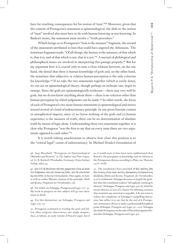have far-reaching consequences for his notion of 'man'."46 Moreover, given that the content of Protagoras's statement is epistemological, the shift in the notion of "man" involved also must have to do with human knowing or not-knowing. In Badiou's terms, the statement must involve a "truth procedure."

Which brings us to Protagoras's "man is the measure" fragment, the second of the statements attributed to him that could have angered the Athenians. The notorious fragment reads: "Of all things, the human is the measure; of that which is, that it is, and of that which is not, that it is not."47 A myriad of philological and philosophical issues are involved in interpreting this passage properly.48 But for my argument here it is crucial only to note a close relation between, on the one hand, the denial that there is human knowledge of gods and, on the other hand, the insistence that subjective or relative human perception is the only criterion for knowledge.49 If we take the two statements together (which is rarely done), we can see an epistemological theory, though perhaps an inchoate one, begin to emerge. Since the gods are epistemologically irrelevant—there may very well be gods, but we do not know anything about them—there is no criterion other than human perception by which judgments can be made.<sup>50</sup> In other words, the focus of each of Protagoras's two most famous statements is epistemological and moves toward avowal of a kind of indeterminacy principle. In any given forensic contest or metaphysical inquiry, since (1) we know nothing of the gods and (2) human experience is the measure of truth, there can be no determination of absolute truth by means of logic alone. Understanding these two statements together, it is clear why Protagoras "was the first to say that on every issue there are two arguments opposed to each other."51

It is worth risking anachronism to observe how close this position is to the "critical legal" canon of indeterminacy. In Michael Dzialo's formulation of

46. Jaap Mansfield, "Protagoras on Epistemological Obstacles and Persons," in *The Sophists and Their Legacy*, ed. G. B. Kerferd (Wiesbaden, Germany: Franz Steiner Verlag, 1981), 43.

47. και ο Π. δε βούλεται πάντων χρημάτων είναι μέτρων τον άνθρωπον των μεν όντων ως έστιν, των δε ούκ όντων ώς ούκ έστιν, in Sextus's formulation. Once again, we have as well an earlier Platonic citation of the principle. Diels and Kranz, *Fragmente der Vorsokratiker*, 258.

48. For which, see Schiappa, *Protagoras and Logos*, 117–33. My book in progress on this subject will go into these issues in detail.

49. For this distinction, see Schiappa, *Protagoras and Logos*, 129–30.

50. Protagoras continued to worship the gods and follow other religious observances: one might imagine, then, at Athens, an early version of Pascal's wager; but if so, it would seem to have been more sophisticated than Pascal's. On perception as knowledge and its relation to the Protagorean dictum according to Plato, see *Thaetetus* 152A–160D.

51. The translation I have provided of Καὶ πρῶτος έφη δύο λόγους είναι περι παντος πράγματος άντικειμένους αλλRλοις (Diels and Kranz, *Fragmente der Vorsokratiker*, 9.51) is traditional. Schiappa discusses at length the problem that this translation reduces "all sophistic teaching to rhetoric" (Schiappa, *Protagoras and Logos*, 90), by which he means rhetoric as sort of a charter for debating societies that maintain any assertion is arguable. I do not want to reduce the complexity of Schiappa's compelling discussion, but suffice it to say that by the end of it Protagoras's statement is shown to make a profound philosophical point (Schiappa, *Protagoras and Logos*, 91–100). Schiappa also finds Protagoras on the side of Heraclitus against Parmenides (Schiappa, *Protagoras and Logos*, 92).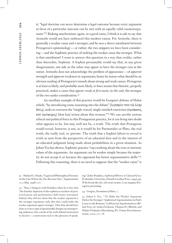it, "legal doctrine can never determine a legal outcome because every argument in favor of a particular outcome can be met with an equally valid counterargument."52 Risking anachronism, again, in a good cause, I think it is safe to say that Aristotle would not have embraced this modern canon. For Aristotle, there is generally a weaker cause and a stronger, and he sees a direct entailment between Protagoras's epistemology—or rather, the two snippets we have been considering—and the Sophistic practice of making the weaker cause the stronger. What is that entailment? I want to answer this question in a way that credits, rather than discredits, Sophism. A Sophist presumably would say that, in any given disagreement, one side or the other may *appear* to have the stronger case at the outset. Aristotle does not acknowledge the problem of appearance—of *apparent* strength and *apparent* weakness in arguments; hence he misses what should be an obvious reading of Protagoras's remark about strong and weak causes. Protagoras is at least as likely, and probably more likely, to have meant that rhetoric, properly practiced, makes a cause that *appears* weak *at first* seem, in the end, the stronger of the two under consideration.53

An excellent example of this practice would be Gorgias's defense of Helen which, "by introducing some reasoning into the debate" [λογισμόν τινα τῷ λόγῳ δούς], seeks to overturn the "single-voiced, single-minded conviction [ὁμόφωνος καὶ ὁμόψυχος] [that has] arisen about this woman."<sup>54</sup> We can ascribe serious ethical and political force to this Protagorean practice, for it can bring into doubt what appears to be, but may well not be, a truth. The truth that Protagoras would reveal, however, is not, as it would be for Parmenides or Plato, the real truth, the really real, or *episteme*. The truth that a Sophist labors to reveal is truth as seen from the perspective of an educated *doxa* and in the interest of an educated judgment being made about probabilities in a given situation. As Johan Vos has shown, Sophistic practice "says nothing about the true or intrinsic values of the arguments. An argument can be weaker simply because the majority do not accept it or because the opponent has better argumentative skills."55 Following this reasoning, there is no need to suppose that the "weaker cause" is

52. Michael G. Dzialo, "Legal and Philosophical Fictions: At the Line Where the Two Become One," *Argumentation* 12.2 (May 1998): 217.

53. Thus, I disagree with Poulakos when he writes that "the familiar depiction of the sophists as teachers of poeticized prose and performative skill seems warranted. Indeed, they did not claim that the weaker argument *is* the stronger argument; only that they could make the weaker argument *appear* stronger. That they should have done so is not a sign of questionable designs on unsuspecting audiences, but a mark of the well-defined motivation to deceive—a motivation tied to the pleasure of speaking" (John Poulakos, *Sophistical Rhetoric in Classical Greece* [Columbia: University of South Carolina Press, 1995], 45). *With friends like this, who needs enemies*, I can imagine Protagoras protesting.

54. Gorgias, *Encomium of Helen*, 2.

55. Johan S. Vos, " 'To Make the Weaker Argument Defeat the Stronger': Sophistical Argumentation in Paul's Letter to the Romans," in *Rhetorical Argumentation in Biblical Texts*, ed. Anders Eriksson, Thomas H. Olbricht, and Walter Übelacker (Harrisburg, PA: Trinity Press International, 2002), 217–18.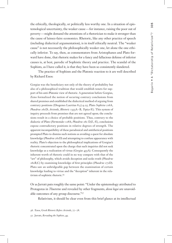the ethically, theologically, or politically less worthy one. In a situation of epistemological uncertainty, the weaker cause—for instance, raising the poor out of poverty—might demand the attentions of a rhetorician to make it stronger than the cause of laissez-faire economics. Rhetoric, like any other practice of speech (including dialectical argumentation), is in itself ethically neutral. The "weaker cause" is not necessarily the philosophically weaker one, let alone the one ethically inferior. To say, then, as commentators from Aristophanes and Plato forward have done, that rhetoric makes for a fancy and fallacious defense of inferior causes is, at best, parodic of Sophistic theory and practice. The scandal of the Sophists, as I have called it, is that they have been so consistently slandered.

The practice of Sophism and the Platonic reaction to it are well described by Richard Enos:

Gorgias was the beneficiary not only of the theory of probability but also of a philosophical tradition that would establish tenets for support of his anti-Platonic view of rhetoric. A generation before Gorgias, Zeno formalized the notion of securing contrary conclusions from shared premises and established the dialectical method of arguing from contrary positions (Diogenes Laertius 8.57.9.25; Plato *Sophista* 216A, *Phaedrus* 261D; *Aristotle*, *Rhetoric* 1355A–B, *Topica* ff.). This system of inquiry proceeds from premises that are not agreed upon; the conclusions result in a choice of probable positions. Thus, contrary to the dialectic of Plato (*Parmenides* 128A; *Phaedrus* 261 D,E, ff.), conclusions expose contradictory positions in relative degrees of strength. The apparent incompatibility of these paradoxical and antithetical positions prompted Plato to dismiss such notions as avoiding a quest for absolute knowledge (*Phaedrus* 261D) and attempting to confuse appearance with reality. Plato's objection to the philosophical implications of Gorgias's rhetoric concentrated upon the charge that such inquiries did not seek knowledge as a realization of virtue (*Gorgias* 455A). Consequently the inherent worth of rhetoric could in no way compare with that of the "art" of philosophy, which avoids deception and seeks truth (*Phaedrus* 262B,C) by examining knowledge of first principles (*Phaedrus* 272D). Plato saw an unbridgeable gap between the examination of certain knowledge leading to virtue and the "deception" inherent in the relativism of sophistic rhetoric.56

Or as Jarratt puts roughly the same point: "Under the epistemology attributed to Protagoras in *Thaetetus* and revealed by other fragments, *dissoi logoi* are unavoidable outcomes of any group discourse."57

Relativism, it should be clear even from this brief glance at its intellectual

<sup>56</sup>. Enos, *Greek Rhetoric Before Aristotle*, 77–78.

<sup>57</sup>. Jarratt, *Rereading the Sophists*, 49.